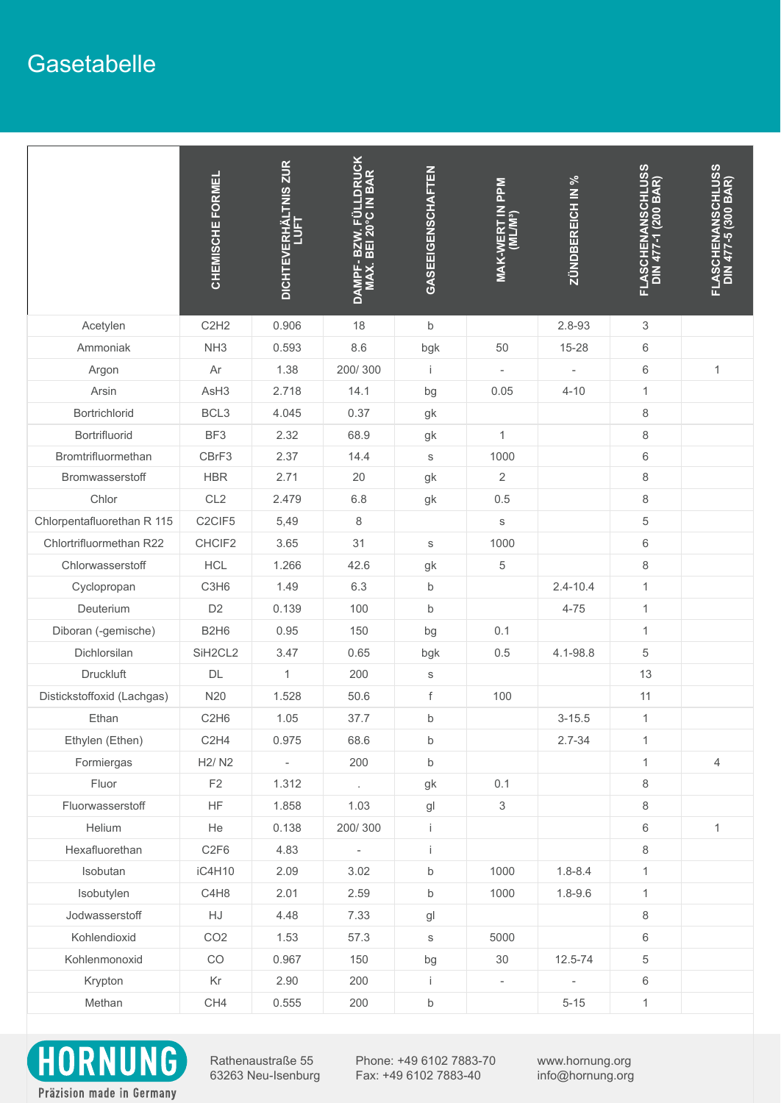Rathenaustraße 55 63263 Neu-Isenburg Phone: +49 6102 7883-70 Fax: +49 6102 7883-40

www.hornung.org info@hornung.org

Präzision made in Germany

## **Gasetabelle**

|                            | FORMEL<br>CHEMISCHE              | <b>LTNIS ZUR</b><br><b>ERHÀI<br/>LUFT</b><br><b>DICHTEV</b> | <b>RUCK</b><br>$\mathbf{\alpha}$<br>$\mathbf{m}$<br>$\blacksquare$<br><b>B</b><br>$\overline{N}$<br>BEI<br><u>ሰ</u><br>DAMPF<br>MAX. | GASEEIGENSCHAFTEN | <b>Ndd</b><br><b>ZTIN</b><br>M <sup>3</sup> ) | ZÜNDBEREICH IN %         | FLASCHENANSCHLUSS<br>DIN 477-1 (200 BAR) | ANSCHLUSS<br>(300 BAR)<br>$\mathbf{\varphi}$<br><b>ASCHI</b><br>DIN 47<br>ᇿ |
|----------------------------|----------------------------------|-------------------------------------------------------------|--------------------------------------------------------------------------------------------------------------------------------------|-------------------|-----------------------------------------------|--------------------------|------------------------------------------|-----------------------------------------------------------------------------|
| Acetylen                   | C2H2                             | 0.906                                                       | 18                                                                                                                                   | $\mathsf b$       |                                               | 2.8-93                   | 3                                        |                                                                             |
| Ammoniak                   | NH <sub>3</sub>                  | 0.593                                                       | 8.6                                                                                                                                  | bgk               | 50                                            | $15 - 28$                | $6\phantom{1}$                           |                                                                             |
| Argon                      | Ar                               | 1.38                                                        | 200/300                                                                                                                              |                   |                                               |                          | $6\phantom{1}$                           |                                                                             |
| Arsin                      | AsH <sub>3</sub>                 | 2.718                                                       | 14.1                                                                                                                                 | bg                | 0.05                                          | $4 - 10$                 | $\mathbf 1$                              |                                                                             |
| <b>Bortrichlorid</b>       | BCL <sub>3</sub>                 | 4.045                                                       | 0.37                                                                                                                                 | gk                |                                               |                          | 8                                        |                                                                             |
| <b>Bortrifluorid</b>       | BF3                              | 2.32                                                        | 68.9                                                                                                                                 | gk                | $\mathbf{1}$                                  |                          | 8                                        |                                                                             |
| Bromtrifluormethan         | CBrF3                            | 2.37                                                        | 14.4                                                                                                                                 | S                 | 1000                                          |                          | $6\phantom{1}$                           |                                                                             |
| Bromwasserstoff            | <b>HBR</b>                       | 2.71                                                        | 20                                                                                                                                   | gk                | $\overline{2}$                                |                          | 8                                        |                                                                             |
| Chlor                      | CL <sub>2</sub>                  | 2.479                                                       | 6.8                                                                                                                                  | gk                | 0.5                                           |                          | 8                                        |                                                                             |
| Chlorpentafluorethan R 115 | C <sub>2</sub> CIF <sub>5</sub>  | 5,49                                                        | 8                                                                                                                                    |                   | S                                             |                          | 5                                        |                                                                             |
| Chlortrifluormethan R22    | CHCIF2                           | 3.65                                                        | 31                                                                                                                                   | S                 | 1000                                          |                          | $6\phantom{1}$                           |                                                                             |
| Chlorwasserstoff           | <b>HCL</b>                       | 1.266                                                       | 42.6                                                                                                                                 | gk                | 5                                             |                          | 8                                        |                                                                             |
| Cyclopropan                | C <sub>3</sub> H <sub>6</sub>    | 1.49                                                        | 6.3                                                                                                                                  | $\mathsf b$       |                                               | $2.4 - 10.4$             | $\mathbf 1$                              |                                                                             |
| <b>Deuterium</b>           | D <sub>2</sub>                   | 0.139                                                       | 100                                                                                                                                  | $\mathsf b$       |                                               | $4 - 75$                 | $\mathbf 1$                              |                                                                             |
| Diboran (-gemische)        | <b>B2H6</b>                      | 0.95                                                        | 150                                                                                                                                  | bg                | 0.1                                           |                          | $\mathbf{1}$                             |                                                                             |
| Dichlorsilan               | SiH <sub>2</sub> CL <sub>2</sub> | 3.47                                                        | 0.65                                                                                                                                 | bgk               | 0.5                                           | 4.1-98.8                 | 5                                        |                                                                             |
| <b>Druckluft</b>           | <b>DL</b>                        | $\mathbf{1}$                                                | 200                                                                                                                                  | S                 |                                               |                          | 13                                       |                                                                             |
| Distickstoffoxid (Lachgas) | N <sub>20</sub>                  | 1.528                                                       | 50.6                                                                                                                                 | f                 | 100                                           |                          | 11                                       |                                                                             |
| Ethan                      | C2H6                             | 1.05                                                        | 37.7                                                                                                                                 | $\mathsf b$       |                                               | $3 - 15.5$               | $\mathbf 1$                              |                                                                             |
| Ethylen (Ethen)            | C2H4                             | 0.975                                                       | 68.6                                                                                                                                 | $\mathsf b$       |                                               | $2.7 - 34$               | $\overline{1}$                           |                                                                             |
| Formiergas                 | <b>H2/N2</b>                     | $\overline{\phantom{a}}$                                    | 200                                                                                                                                  | $\mathsf b$       |                                               |                          | $\mathbf 1$                              | $\overline{4}$                                                              |
| Fluor                      | F2                               | 1.312                                                       | $\mathbf{r}$                                                                                                                         | gk                | 0.1                                           |                          | 8                                        |                                                                             |
| Fluorwasserstoff           | HF.                              | 1.858                                                       | 1.03                                                                                                                                 | g <sub>l</sub>    | 3                                             |                          | 8                                        |                                                                             |
| <b>Helium</b>              | He                               | 0.138                                                       | 200/300                                                                                                                              |                   |                                               |                          | 6                                        |                                                                             |
| Hexafluorethan             | C <sub>2F6</sub>                 | 4.83                                                        |                                                                                                                                      |                   |                                               |                          | 8                                        |                                                                             |
| Isobutan                   | <b>iC4H10</b>                    | 2.09                                                        | 3.02                                                                                                                                 | $\mathsf b$       | 1000                                          | $1.8 - 8.4$              | $\mathbf{1}$                             |                                                                             |
| Isobutylen                 | C4H8                             | 2.01                                                        | 2.59                                                                                                                                 | $\mathsf b$       | 1000                                          | $1.8 - 9.6$              | $\mathbf 1$                              |                                                                             |
| Jodwasserstoff             | HJ                               | 4.48                                                        | 7.33                                                                                                                                 | g <sub>l</sub>    |                                               |                          | 8                                        |                                                                             |
| Kohlendioxid               | CO <sub>2</sub>                  | 1.53                                                        | 57.3                                                                                                                                 | $\mathsf S$       | 5000                                          |                          | $6\phantom{1}$                           |                                                                             |
| Kohlenmonoxid              | CO                               | 0.967                                                       | 150                                                                                                                                  | bg                | 30                                            | $12.5 - 74$              | 5                                        |                                                                             |
| Krypton                    | Kr                               | 2.90                                                        | 200                                                                                                                                  |                   | $\overline{\phantom{a}}$                      | $\overline{\phantom{a}}$ | 6                                        |                                                                             |
| Methan                     | CH <sub>4</sub>                  | 0.555                                                       | 200                                                                                                                                  | $\mathsf b$       |                                               | $5 - 15$                 | $\mathbf{1}$                             |                                                                             |